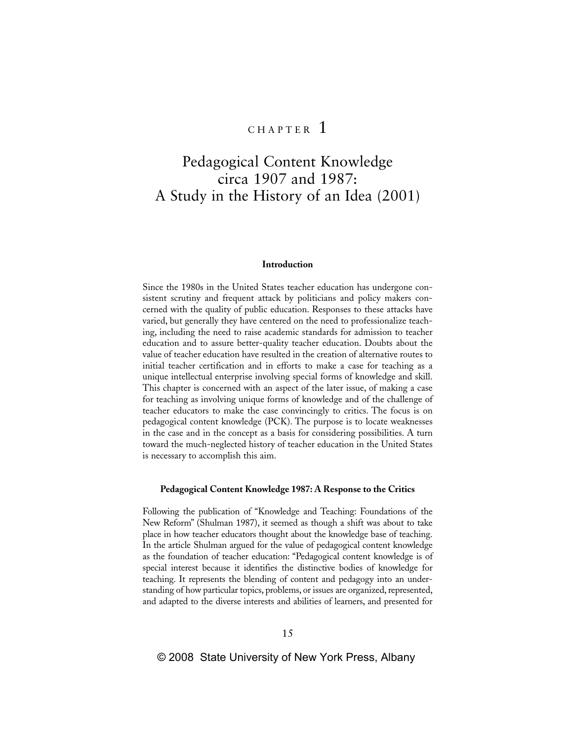## $CHAPTER$ <sup>1</sup>

# Pedagogical Content Knowledge circa 1907 and 1987: A Study in the History of an Idea (2001)

#### **Introduction**

Since the 1980s in the United States teacher education has undergone consistent scrutiny and frequent attack by politicians and policy makers concerned with the quality of public education. Responses to these attacks have varied, but generally they have centered on the need to professionalize teaching, including the need to raise academic standards for admission to teacher education and to assure better-quality teacher education. Doubts about the value of teacher education have resulted in the creation of alternative routes to initial teacher certification and in efforts to make a case for teaching as a unique intellectual enterprise involving special forms of knowledge and skill. This chapter is concerned with an aspect of the later issue, of making a case for teaching as involving unique forms of knowledge and of the challenge of teacher educators to make the case convincingly to critics. The focus is on pedagogical content knowledge (PCK). The purpose is to locate weaknesses in the case and in the concept as a basis for considering possibilities. A turn toward the much-neglected history of teacher education in the United States is necessary to accomplish this aim.

#### **Pedagogical Content Knowledge 1987: A Response to the Critics**

Following the publication of "Knowledge and Teaching: Foundations of the New Reform" (Shulman 1987), it seemed as though a shift was about to take place in how teacher educators thought about the knowledge base of teaching. In the article Shulman argued for the value of pedagogical content knowledge as the foundation of teacher education: "Pedagogical content knowledge is of special interest because it identifies the distinctive bodies of knowledge for teaching. It represents the blending of content and pedagogy into an understanding of how particular topics, problems, or issues are organized, represented, and adapted to the diverse interests and abilities of learners, and presented for

### © 2008 State University of New York Press, Albany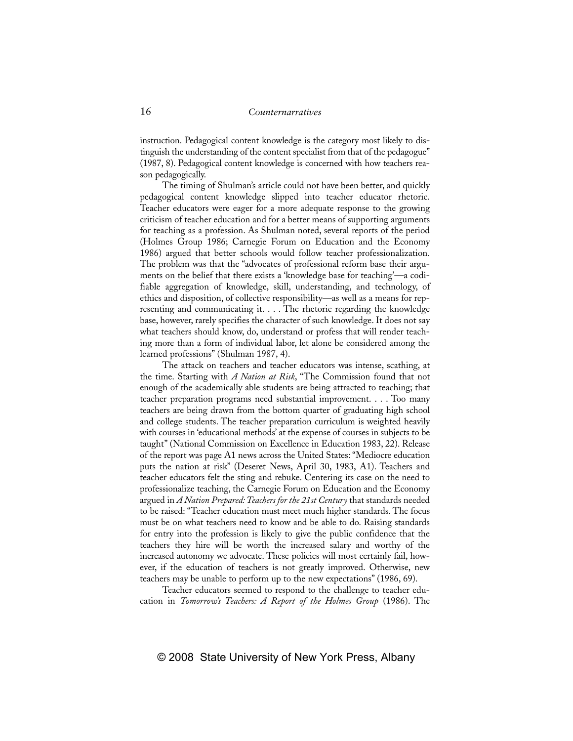instruction. Pedagogical content knowledge is the category most likely to distinguish the understanding of the content specialist from that of the pedagogue" (1987, 8). Pedagogical content knowledge is concerned with how teachers reason pedagogically.

The timing of Shulman's article could not have been better, and quickly pedagogical content knowledge slipped into teacher educator rhetoric. Teacher educators were eager for a more adequate response to the growing criticism of teacher education and for a better means of supporting arguments for teaching as a profession. As Shulman noted, several reports of the period (Holmes Group 1986; Carnegie Forum on Education and the Economy 1986) argued that better schools would follow teacher professionalization. The problem was that the "advocates of professional reform base their arguments on the belief that there exists a 'knowledge base for teaching'—a codifiable aggregation of knowledge, skill, understanding, and technology, of ethics and disposition, of collective responsibility—as well as a means for representing and communicating it.... The rhetoric regarding the knowledge base, however, rarely specifies the character of such knowledge. It does not say what teachers should know, do, understand or profess that will render teaching more than a form of individual labor, let alone be considered among the learned professions" (Shulman 1987, 4).

The attack on teachers and teacher educators was intense, scathing, at the time. Starting with *A Nation at Risk*, "The Commission found that not enough of the academically able students are being attracted to teaching; that teacher preparation programs need substantial improvement. . . . Too many teachers are being drawn from the bottom quarter of graduating high school and college students. The teacher preparation curriculum is weighted heavily with courses in 'educational methods' at the expense of courses in subjects to be taught" (National Commission on Excellence in Education 1983, 22). Release of the report was page A1 news across the United States: "Mediocre education puts the nation at risk" (Deseret News, April 30, 1983, A1). Teachers and teacher educators felt the sting and rebuke. Centering its case on the need to professionalize teaching, the Carnegie Forum on Education and the Economy argued in *A Nation Prepared: Teachers for the 21st Century* that standards needed to be raised: "Teacher education must meet much higher standards. The focus must be on what teachers need to know and be able to do. Raising standards for entry into the profession is likely to give the public confidence that the teachers they hire will be worth the increased salary and worthy of the increased autonomy we advocate. These policies will most certainly fail, however, if the education of teachers is not greatly improved. Otherwise, new teachers may be unable to perform up to the new expectations" (1986, 69).

Teacher educators seemed to respond to the challenge to teacher education in *Tomorrow's Teachers: A Report of the Holmes Group* (1986). The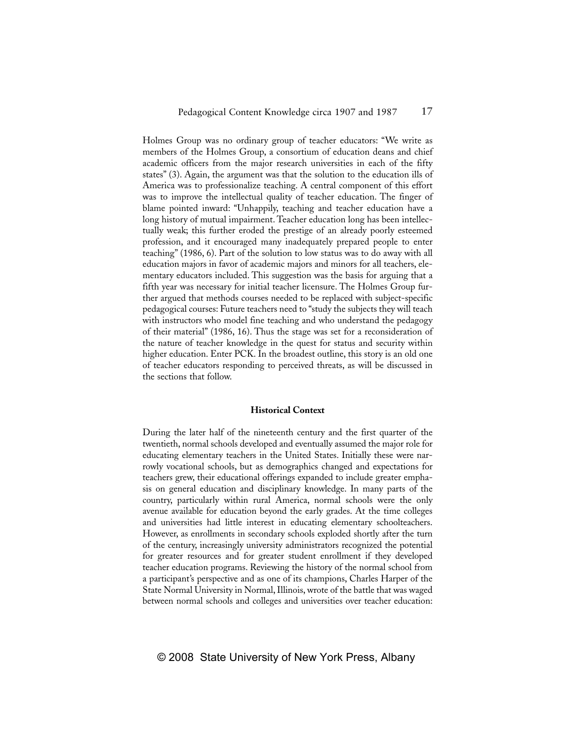Holmes Group was no ordinary group of teacher educators: "We write as members of the Holmes Group, a consortium of education deans and chief academic officers from the major research universities in each of the fifty states" (3). Again, the argument was that the solution to the education ills of America was to professionalize teaching. A central component of this effort was to improve the intellectual quality of teacher education. The finger of blame pointed inward: "Unhappily, teaching and teacher education have a long history of mutual impairment. Teacher education long has been intellectually weak; this further eroded the prestige of an already poorly esteemed profession, and it encouraged many inadequately prepared people to enter teaching" (1986, 6). Part of the solution to low status was to do away with all education majors in favor of academic majors and minors for all teachers, elementary educators included. This suggestion was the basis for arguing that a fifth year was necessary for initial teacher licensure. The Holmes Group further argued that methods courses needed to be replaced with subject-specific pedagogical courses: Future teachers need to "study the subjects they will teach with instructors who model fine teaching and who understand the pedagogy of their material" (1986, 16). Thus the stage was set for a reconsideration of the nature of teacher knowledge in the quest for status and security within higher education. Enter PCK. In the broadest outline, this story is an old one of teacher educators responding to perceived threats, as will be discussed in the sections that follow.

#### **Historical Context**

During the later half of the nineteenth century and the first quarter of the twentieth, normal schools developed and eventually assumed the major role for educating elementary teachers in the United States. Initially these were narrowly vocational schools, but as demographics changed and expectations for teachers grew, their educational offerings expanded to include greater emphasis on general education and disciplinary knowledge. In many parts of the country, particularly within rural America, normal schools were the only avenue available for education beyond the early grades. At the time colleges and universities had little interest in educating elementary schoolteachers. However, as enrollments in secondary schools exploded shortly after the turn of the century, increasingly university administrators recognized the potential for greater resources and for greater student enrollment if they developed teacher education programs. Reviewing the history of the normal school from a participant's perspective and as one of its champions, Charles Harper of the State Normal University in Normal, Illinois, wrote of the battle that was waged between normal schools and colleges and universities over teacher education: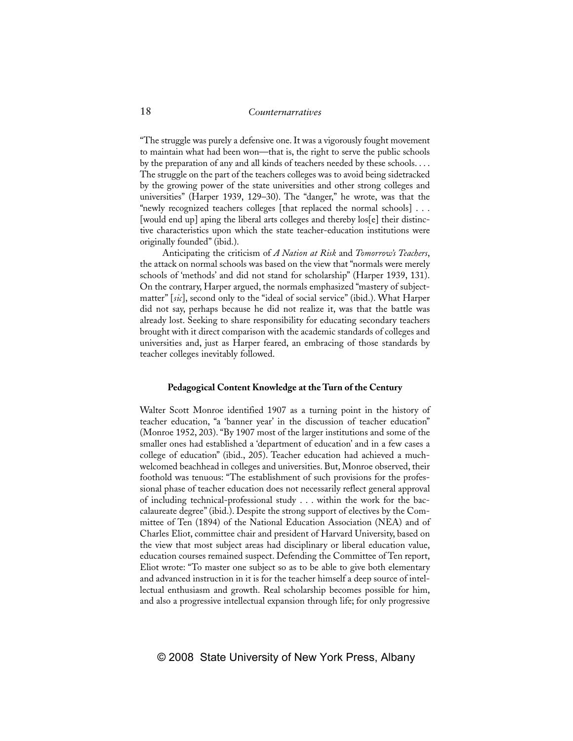"The struggle was purely a defensive one. It was a vigorously fought movement to maintain what had been won—that is, the right to serve the public schools by the preparation of any and all kinds of teachers needed by these schools.... The struggle on the part of the teachers colleges was to avoid being sidetracked by the growing power of the state universities and other strong colleges and universities" (Harper 1939, 129–30). The "danger," he wrote, was that the "newly recognized teachers colleges [that replaced the normal schools] . . . [would end up] aping the liberal arts colleges and thereby los[e] their distinctive characteristics upon which the state teacher-education institutions were originally founded" (ibid.).

Anticipating the criticism of *A Nation at Risk* and *Tomorrow's Teachers*, the attack on normal schools was based on the view that "normals were merely schools of 'methods' and did not stand for scholarship" (Harper 1939, 131). On the contrary, Harper argued, the normals emphasized "mastery of subjectmatter" [*sic*], second only to the "ideal of social service" (ibid.). What Harper did not say, perhaps because he did not realize it, was that the battle was already lost. Seeking to share responsibility for educating secondary teachers brought with it direct comparison with the academic standards of colleges and universities and, just as Harper feared, an embracing of those standards by teacher colleges inevitably followed.

#### **Pedagogical Content Knowledge at the Turn of the Century**

Walter Scott Monroe identified 1907 as a turning point in the history of teacher education, "a 'banner year' in the discussion of teacher education" (Monroe 1952, 203). "By 1907 most of the larger institutions and some of the smaller ones had established a 'department of education' and in a few cases a college of education" (ibid., 205). Teacher education had achieved a muchwelcomed beachhead in colleges and universities. But, Monroe observed, their foothold was tenuous: "The establishment of such provisions for the professional phase of teacher education does not necessarily reflect general approval of including technical-professional study . . . within the work for the baccalaureate degree" (ibid.). Despite the strong support of electives by the Committee of Ten (1894) of the National Education Association (NEA) and of Charles Eliot, committee chair and president of Harvard University, based on the view that most subject areas had disciplinary or liberal education value, education courses remained suspect. Defending the Committee of Ten report, Eliot wrote: "To master one subject so as to be able to give both elementary and advanced instruction in it is for the teacher himself a deep source of intellectual enthusiasm and growth. Real scholarship becomes possible for him, and also a progressive intellectual expansion through life; for only progressive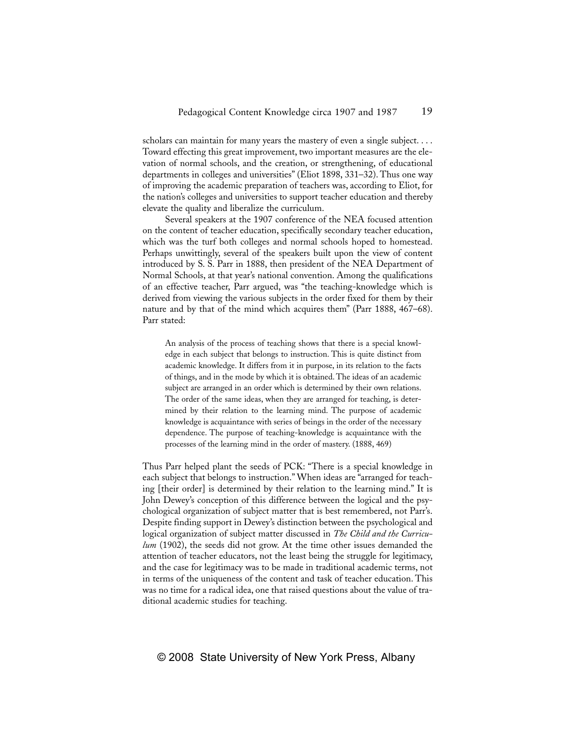scholars can maintain for many years the mastery of even a single subject.... Toward effecting this great improvement, two important measures are the elevation of normal schools, and the creation, or strengthening, of educational departments in colleges and universities" (Eliot 1898, 331–32). Thus one way of improving the academic preparation of teachers was, according to Eliot, for the nation's colleges and universities to support teacher education and thereby elevate the quality and liberalize the curriculum.

Several speakers at the 1907 conference of the NEA focused attention on the content of teacher education, specifically secondary teacher education, which was the turf both colleges and normal schools hoped to homestead. Perhaps unwittingly, several of the speakers built upon the view of content introduced by S. S. Parr in 1888, then president of the NEA Department of Normal Schools, at that year's national convention. Among the qualifications of an effective teacher, Parr argued, was "the teaching-knowledge which is derived from viewing the various subjects in the order fixed for them by their nature and by that of the mind which acquires them" (Parr 1888, 467–68). Parr stated:

An analysis of the process of teaching shows that there is a special knowledge in each subject that belongs to instruction. This is quite distinct from academic knowledge. It differs from it in purpose, in its relation to the facts of things, and in the mode by which it is obtained. The ideas of an academic subject are arranged in an order which is determined by their own relations. The order of the same ideas, when they are arranged for teaching, is determined by their relation to the learning mind. The purpose of academic knowledge is acquaintance with series of beings in the order of the necessary dependence. The purpose of teaching-knowledge is acquaintance with the processes of the learning mind in the order of mastery. (1888, 469)

Thus Parr helped plant the seeds of PCK: "There is a special knowledge in each subject that belongs to instruction." When ideas are "arranged for teaching [their order] is determined by their relation to the learning mind." It is John Dewey's conception of this difference between the logical and the psychological organization of subject matter that is best remembered, not Parr's. Despite finding support in Dewey's distinction between the psychological and logical organization of subject matter discussed in *The Child and the Curriculum* (1902), the seeds did not grow. At the time other issues demanded the attention of teacher educators, not the least being the struggle for legitimacy, and the case for legitimacy was to be made in traditional academic terms, not in terms of the uniqueness of the content and task of teacher education. This was no time for a radical idea, one that raised questions about the value of traditional academic studies for teaching.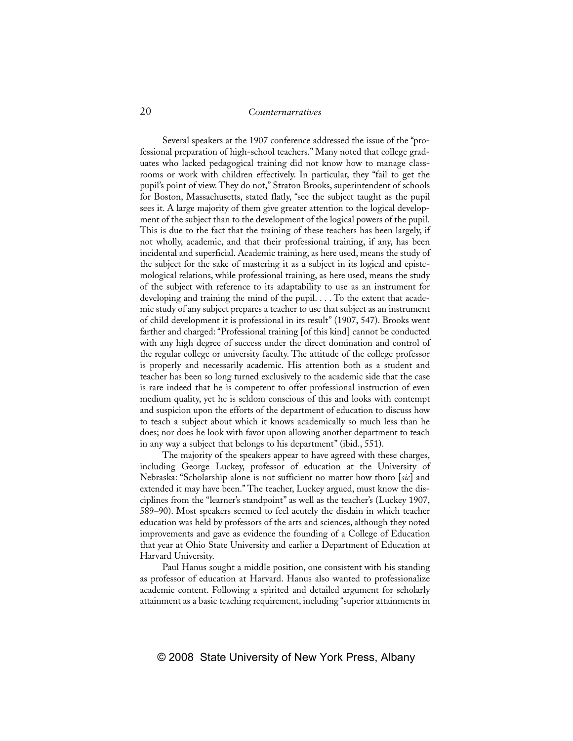#### 20 *Counternarratives*

Several speakers at the 1907 conference addressed the issue of the "professional preparation of high-school teachers." Many noted that college graduates who lacked pedagogical training did not know how to manage classrooms or work with children effectively. In particular, they "fail to get the pupil's point of view. They do not," Straton Brooks, superintendent of schools for Boston, Massachusetts, stated flatly, "see the subject taught as the pupil sees it. A large majority of them give greater attention to the logical development of the subject than to the development of the logical powers of the pupil. This is due to the fact that the training of these teachers has been largely, if not wholly, academic, and that their professional training, if any, has been incidental and superficial. Academic training, as here used, means the study of the subject for the sake of mastering it as a subject in its logical and epistemological relations, while professional training, as here used, means the study of the subject with reference to its adaptability to use as an instrument for developing and training the mind of the pupil. . . . To the extent that academic study of any subject prepares a teacher to use that subject as an instrument of child development it is professional in its result" (1907, 547). Brooks went farther and charged: "Professional training [of this kind] cannot be conducted with any high degree of success under the direct domination and control of the regular college or university faculty. The attitude of the college professor is properly and necessarily academic. His attention both as a student and teacher has been so long turned exclusively to the academic side that the case is rare indeed that he is competent to offer professional instruction of even medium quality, yet he is seldom conscious of this and looks with contempt and suspicion upon the efforts of the department of education to discuss how to teach a subject about which it knows academically so much less than he does; nor does he look with favor upon allowing another department to teach in any way a subject that belongs to his department" (ibid., 551).

The majority of the speakers appear to have agreed with these charges, including George Luckey, professor of education at the University of Nebraska: "Scholarship alone is not sufficient no matter how thoro [*sic*] and extended it may have been." The teacher, Luckey argued, must know the disciplines from the "learner's standpoint" as well as the teacher's (Luckey 1907, 589–90). Most speakers seemed to feel acutely the disdain in which teacher education was held by professors of the arts and sciences, although they noted improvements and gave as evidence the founding of a College of Education that year at Ohio State University and earlier a Department of Education at Harvard University.

Paul Hanus sought a middle position, one consistent with his standing as professor of education at Harvard. Hanus also wanted to professionalize academic content. Following a spirited and detailed argument for scholarly attainment as a basic teaching requirement, including "superior attainments in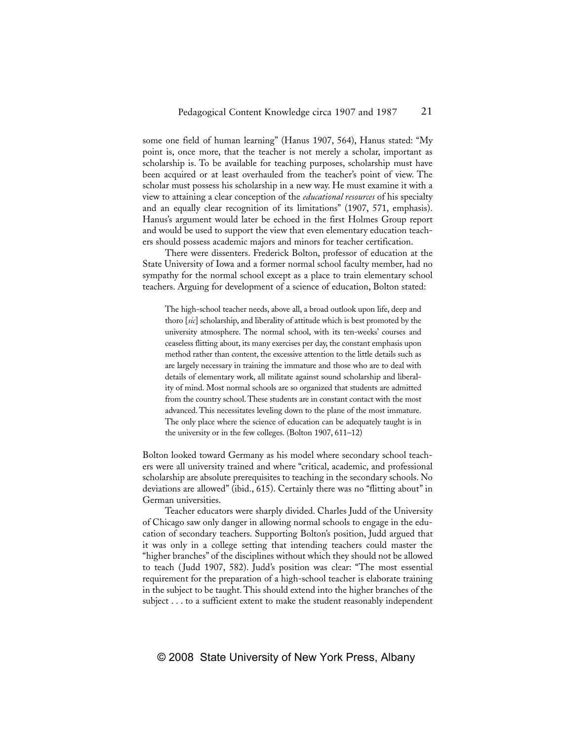some one field of human learning" (Hanus 1907, 564), Hanus stated: "My point is, once more, that the teacher is not merely a scholar, important as scholarship is. To be available for teaching purposes, scholarship must have been acquired or at least overhauled from the teacher's point of view. The scholar must possess his scholarship in a new way. He must examine it with a view to attaining a clear conception of the *educational resources* of his specialty and an equally clear recognition of its limitations" (1907, 571, emphasis). Hanus's argument would later be echoed in the first Holmes Group report and would be used to support the view that even elementary education teachers should possess academic majors and minors for teacher certification.

There were dissenters. Frederick Bolton, professor of education at the State University of Iowa and a former normal school faculty member, had no sympathy for the normal school except as a place to train elementary school teachers. Arguing for development of a science of education, Bolton stated:

The high-school teacher needs, above all, a broad outlook upon life, deep and thoro [*sic*] scholarship, and liberality of attitude which is best promoted by the university atmosphere. The normal school, with its ten-weeks' courses and ceaseless flitting about, its many exercises per day, the constant emphasis upon method rather than content, the excessive attention to the little details such as are largely necessary in training the immature and those who are to deal with details of elementary work, all militate against sound scholarship and liberality of mind. Most normal schools are so organized that students are admitted from the country school. These students are in constant contact with the most advanced. This necessitates leveling down to the plane of the most immature. The only place where the science of education can be adequately taught is in the university or in the few colleges. (Bolton 1907, 611–12)

Bolton looked toward Germany as his model where secondary school teachers were all university trained and where "critical, academic, and professional scholarship are absolute prerequisites to teaching in the secondary schools. No deviations are allowed" (ibid., 615). Certainly there was no "flitting about" in German universities.

Teacher educators were sharply divided. Charles Judd of the University of Chicago saw only danger in allowing normal schools to engage in the education of secondary teachers. Supporting Bolton's position, Judd argued that it was only in a college setting that intending teachers could master the "higher branches" of the disciplines without which they should not be allowed to teach ( Judd 1907, 582). Judd's position was clear: "The most essential requirement for the preparation of a high-school teacher is elaborate training in the subject to be taught. This should extend into the higher branches of the subject . . . to a sufficient extent to make the student reasonably independent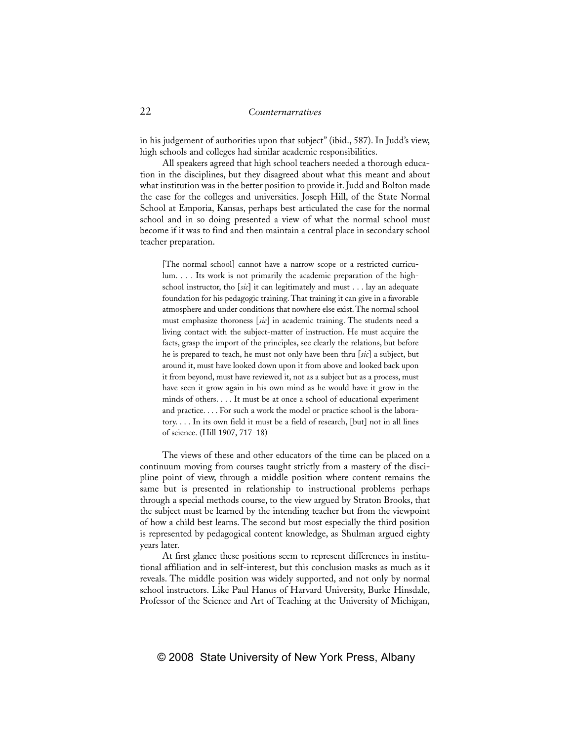in his judgement of authorities upon that subject" (ibid., 587). In Judd's view, high schools and colleges had similar academic responsibilities.

All speakers agreed that high school teachers needed a thorough education in the disciplines, but they disagreed about what this meant and about what institution was in the better position to provide it. Judd and Bolton made the case for the colleges and universities. Joseph Hill, of the State Normal School at Emporia, Kansas, perhaps best articulated the case for the normal school and in so doing presented a view of what the normal school must become if it was to find and then maintain a central place in secondary school teacher preparation.

[The normal school] cannot have a narrow scope or a restricted curriculum. . . . Its work is not primarily the academic preparation of the highschool instructor, tho [*sic*] it can legitimately and must . . . lay an adequate foundation for his pedagogic training. That training it can give in a favorable atmosphere and under conditions that nowhere else exist. The normal school must emphasize thoroness [*sic*] in academic training. The students need a living contact with the subject-matter of instruction. He must acquire the facts, grasp the import of the principles, see clearly the relations, but before he is prepared to teach, he must not only have been thru [*sic*] a subject, but around it, must have looked down upon it from above and looked back upon it from beyond, must have reviewed it, not as a subject but as a process, must have seen it grow again in his own mind as he would have it grow in the minds of others. . . . It must be at once a school of educational experiment and practice. . . . For such a work the model or practice school is the laboratory. . . . In its own field it must be a field of research, [but] not in all lines of science. (Hill 1907, 717–18)

The views of these and other educators of the time can be placed on a continuum moving from courses taught strictly from a mastery of the discipline point of view, through a middle position where content remains the same but is presented in relationship to instructional problems perhaps through a special methods course, to the view argued by Straton Brooks, that the subject must be learned by the intending teacher but from the viewpoint of how a child best learns. The second but most especially the third position is represented by pedagogical content knowledge, as Shulman argued eighty years later.

At first glance these positions seem to represent differences in institutional affiliation and in self-interest, but this conclusion masks as much as it reveals. The middle position was widely supported, and not only by normal school instructors. Like Paul Hanus of Harvard University, Burke Hinsdale, Professor of the Science and Art of Teaching at the University of Michigan,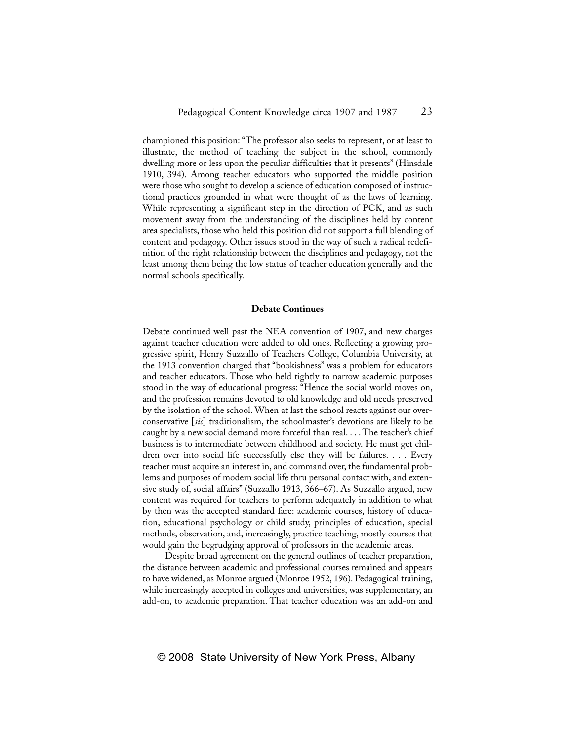championed this position: "The professor also seeks to represent, or at least to illustrate, the method of teaching the subject in the school, commonly dwelling more or less upon the peculiar difficulties that it presents" (Hinsdale 1910, 394). Among teacher educators who supported the middle position were those who sought to develop a science of education composed of instructional practices grounded in what were thought of as the laws of learning. While representing a significant step in the direction of PCK, and as such movement away from the understanding of the disciplines held by content area specialists, those who held this position did not support a full blending of content and pedagogy. Other issues stood in the way of such a radical redefinition of the right relationship between the disciplines and pedagogy, not the least among them being the low status of teacher education generally and the normal schools specifically.

#### **Debate Continues**

Debate continued well past the NEA convention of 1907, and new charges against teacher education were added to old ones. Reflecting a growing progressive spirit, Henry Suzzallo of Teachers College, Columbia University, at the 1913 convention charged that "bookishness" was a problem for educators and teacher educators. Those who held tightly to narrow academic purposes stood in the way of educational progress: "Hence the social world moves on, and the profession remains devoted to old knowledge and old needs preserved by the isolation of the school. When at last the school reacts against our overconservative [*sic*] traditionalism, the schoolmaster's devotions are likely to be caught by a new social demand more forceful than real.... The teacher's chief business is to intermediate between childhood and society. He must get children over into social life successfully else they will be failures. . . . Every teacher must acquire an interest in, and command over, the fundamental problems and purposes of modern social life thru personal contact with, and extensive study of, social affairs" (Suzzallo 1913, 366–67). As Suzzallo argued, new content was required for teachers to perform adequately in addition to what by then was the accepted standard fare: academic courses, history of education, educational psychology or child study, principles of education, special methods, observation, and, increasingly, practice teaching, mostly courses that would gain the begrudging approval of professors in the academic areas.

Despite broad agreement on the general outlines of teacher preparation, the distance between academic and professional courses remained and appears to have widened, as Monroe argued (Monroe 1952, 196). Pedagogical training, while increasingly accepted in colleges and universities, was supplementary, an add-on, to academic preparation. That teacher education was an add-on and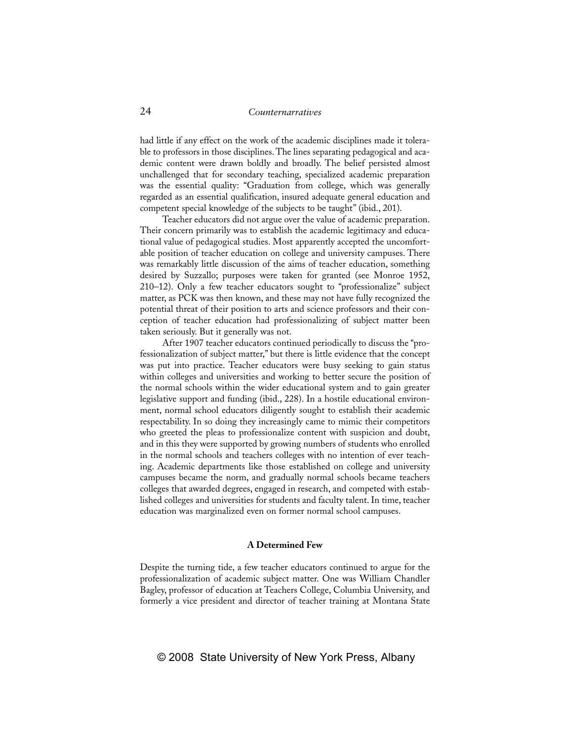had little if any effect on the work of the academic disciplines made it tolerable to professors in those disciplines. The lines separating pedagogical and academic content were drawn boldly and broadly. The belief persisted almost unchallenged that for secondary teaching, specialized academic preparation was the essential quality: "Graduation from college, which was generally regarded as an essential qualification, insured adequate general education and competent special knowledge of the subjects to be taught" (ibid., 201).

Teacher educators did not argue over the value of academic preparation. Their concern primarily was to establish the academic legitimacy and educational value of pedagogical studies. Most apparently accepted the uncomfortable position of teacher education on college and university campuses. There was remarkably little discussion of the aims of teacher education, something desired by Suzzallo; purposes were taken for granted (see Monroe 1952, 210–12). Only a few teacher educators sought to "professionalize" subject matter, as PCK was then known, and these may not have fully recognized the potential threat of their position to arts and science professors and their conception of teacher education had professionalizing of subject matter been taken seriously. But it generally was not.

After 1907 teacher educators continued periodically to discuss the "professionalization of subject matter," but there is little evidence that the concept was put into practice. Teacher educators were busy seeking to gain status within colleges and universities and working to better secure the position of the normal schools within the wider educational system and to gain greater legislative support and funding (ibid., 228). In a hostile educational environment, normal school educators diligently sought to establish their academic respectability. In so doing they increasingly came to mimic their competitors who greeted the pleas to professionalize content with suspicion and doubt, and in this they were supported by growing numbers of students who enrolled in the normal schools and teachers colleges with no intention of ever teaching. Academic departments like those established on college and university campuses became the norm, and gradually normal schools became teachers colleges that awarded degrees, engaged in research, and competed with established colleges and universities for students and faculty talent. In time, teacher education was marginalized even on former normal school campuses.

#### **A Determined Few**

Despite the turning tide, a few teacher educators continued to argue for the professionalization of academic subject matter. One was William Chandler Bagley, professor of education at Teachers College, Columbia University, and formerly a vice president and director of teacher training at Montana State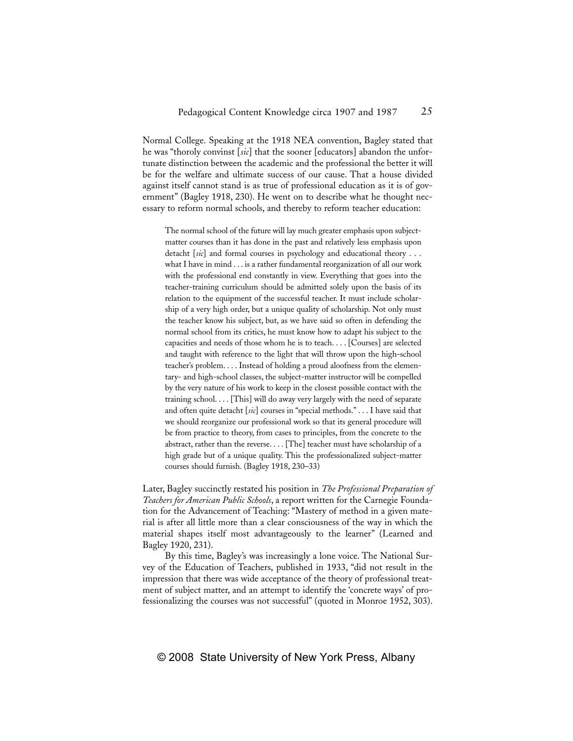Normal College. Speaking at the 1918 NEA convention, Bagley stated that he was "thoroly convinst [*sic*] that the sooner [educators] abandon the unfortunate distinction between the academic and the professional the better it will be for the welfare and ultimate success of our cause. That a house divided against itself cannot stand is as true of professional education as it is of government" (Bagley 1918, 230). He went on to describe what he thought necessary to reform normal schools, and thereby to reform teacher education:

The normal school of the future will lay much greater emphasis upon subjectmatter courses than it has done in the past and relatively less emphasis upon detacht [*sic*] and formal courses in psychology and educational theory . . . what I have in mind . . . is a rather fundamental reorganization of all our work with the professional end constantly in view. Everything that goes into the teacher-training curriculum should be admitted solely upon the basis of its relation to the equipment of the successful teacher. It must include scholarship of a very high order, but a unique quality of scholarship. Not only must the teacher know his subject, but, as we have said so often in defending the normal school from its critics, he must know how to adapt his subject to the capacities and needs of those whom he is to teach. . . . [Courses] are selected and taught with reference to the light that will throw upon the high-school teacher's problem.... Instead of holding a proud aloofness from the elementary- and high-school classes, the subject-matter instructor will be compelled by the very nature of his work to keep in the closest possible contact with the training school. ...[This] will do away very largely with the need of separate and often quite detacht [*sic*] courses in "special methods." . . . I have said that we should reorganize our professional work so that its general procedure will be from practice to theory, from cases to principles, from the concrete to the abstract, rather than the reverse. ...[The] teacher must have scholarship of a high grade but of a unique quality. This the professionalized subject-matter courses should furnish. (Bagley 1918, 230–33)

Later, Bagley succinctly restated his position in *The Professional Preparation of Teachers for American Public Schools*, a report written for the Carnegie Foundation for the Advancement of Teaching: "Mastery of method in a given material is after all little more than a clear consciousness of the way in which the material shapes itself most advantageously to the learner" (Learned and Bagley 1920, 231).

By this time, Bagley's was increasingly a lone voice. The National Survey of the Education of Teachers, published in 1933, "did not result in the impression that there was wide acceptance of the theory of professional treatment of subject matter, and an attempt to identify the 'concrete ways' of professionalizing the courses was not successful" (quoted in Monroe 1952, 303).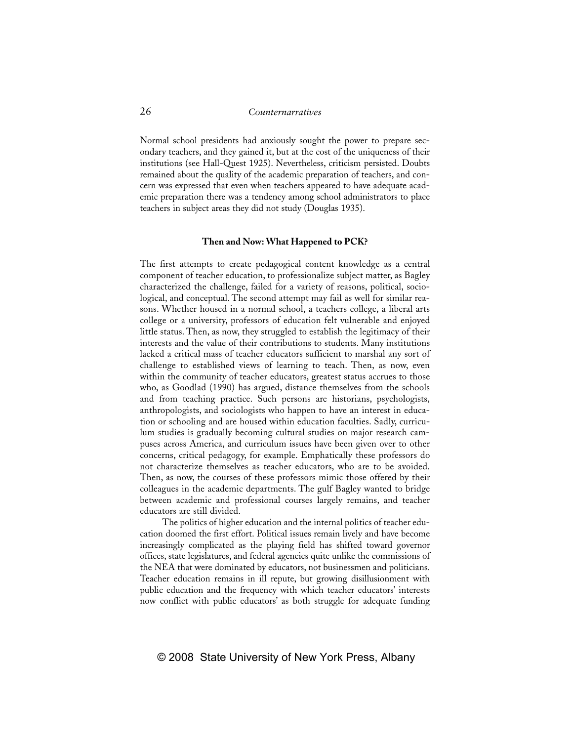Normal school presidents had anxiously sought the power to prepare secondary teachers, and they gained it, but at the cost of the uniqueness of their institutions (see Hall-Quest 1925). Nevertheless, criticism persisted. Doubts remained about the quality of the academic preparation of teachers, and concern was expressed that even when teachers appeared to have adequate academic preparation there was a tendency among school administrators to place teachers in subject areas they did not study (Douglas 1935).

#### **Then and Now: What Happened to PCK?**

The first attempts to create pedagogical content knowledge as a central component of teacher education, to professionalize subject matter, as Bagley characterized the challenge, failed for a variety of reasons, political, sociological, and conceptual. The second attempt may fail as well for similar reasons. Whether housed in a normal school, a teachers college, a liberal arts college or a university, professors of education felt vulnerable and enjoyed little status. Then, as now, they struggled to establish the legitimacy of their interests and the value of their contributions to students. Many institutions lacked a critical mass of teacher educators sufficient to marshal any sort of challenge to established views of learning to teach. Then, as now, even within the community of teacher educators, greatest status accrues to those who, as Goodlad (1990) has argued, distance themselves from the schools and from teaching practice. Such persons are historians, psychologists, anthropologists, and sociologists who happen to have an interest in education or schooling and are housed within education faculties. Sadly, curriculum studies is gradually becoming cultural studies on major research campuses across America, and curriculum issues have been given over to other concerns, critical pedagogy, for example. Emphatically these professors do not characterize themselves as teacher educators, who are to be avoided. Then, as now, the courses of these professors mimic those offered by their colleagues in the academic departments. The gulf Bagley wanted to bridge between academic and professional courses largely remains, and teacher educators are still divided.

The politics of higher education and the internal politics of teacher education doomed the first effort. Political issues remain lively and have become increasingly complicated as the playing field has shifted toward governor offices, state legislatures, and federal agencies quite unlike the commissions of the NEA that were dominated by educators, not businessmen and politicians. Teacher education remains in ill repute, but growing disillusionment with public education and the frequency with which teacher educators' interests now conflict with public educators' as both struggle for adequate funding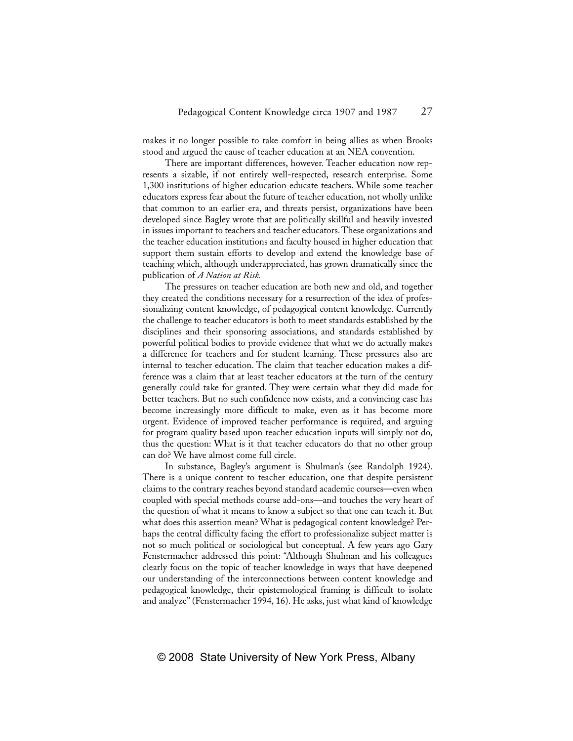makes it no longer possible to take comfort in being allies as when Brooks stood and argued the cause of teacher education at an NEA convention.

There are important differences, however. Teacher education now represents a sizable, if not entirely well-respected, research enterprise. Some 1,300 institutions of higher education educate teachers. While some teacher educators express fear about the future of teacher education, not wholly unlike that common to an earlier era, and threats persist, organizations have been developed since Bagley wrote that are politically skillful and heavily invested in issues important to teachers and teacher educators. These organizations and the teacher education institutions and faculty housed in higher education that support them sustain efforts to develop and extend the knowledge base of teaching which, although underappreciated, has grown dramatically since the publication of *A Nation at Risk.*

The pressures on teacher education are both new and old, and together they created the conditions necessary for a resurrection of the idea of professionalizing content knowledge, of pedagogical content knowledge. Currently the challenge to teacher educators is both to meet standards established by the disciplines and their sponsoring associations, and standards established by powerful political bodies to provide evidence that what we do actually makes a difference for teachers and for student learning. These pressures also are internal to teacher education. The claim that teacher education makes a difference was a claim that at least teacher educators at the turn of the century generally could take for granted. They were certain what they did made for better teachers. But no such confidence now exists, and a convincing case has become increasingly more difficult to make, even as it has become more urgent. Evidence of improved teacher performance is required, and arguing for program quality based upon teacher education inputs will simply not do, thus the question: What is it that teacher educators do that no other group can do? We have almost come full circle.

In substance, Bagley's argument is Shulman's (see Randolph 1924). There is a unique content to teacher education, one that despite persistent claims to the contrary reaches beyond standard academic courses—even when coupled with special methods course add-ons—and touches the very heart of the question of what it means to know a subject so that one can teach it. But what does this assertion mean? What is pedagogical content knowledge? Perhaps the central difficulty facing the effort to professionalize subject matter is not so much political or sociological but conceptual. A few years ago Gary Fenstermacher addressed this point: "Although Shulman and his colleagues clearly focus on the topic of teacher knowledge in ways that have deepened our understanding of the interconnections between content knowledge and pedagogical knowledge, their epistemological framing is difficult to isolate and analyze" (Fenstermacher 1994, 16). He asks, just what kind of knowledge